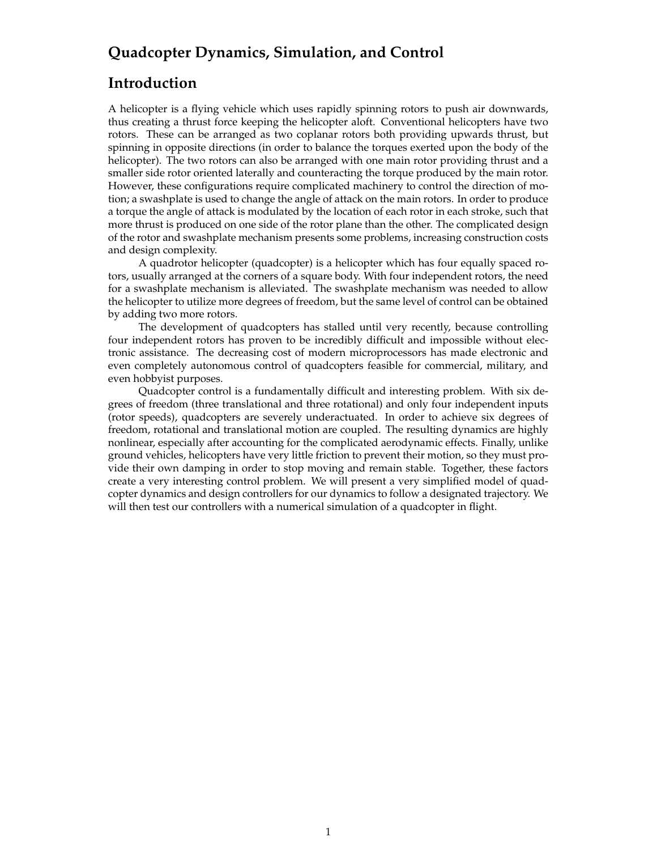# **Quadcopter Dynamics, Simulation, and Control**

### **Introduction**

A helicopter is a flying vehicle which uses rapidly spinning rotors to push air downwards, thus creating a thrust force keeping the helicopter aloft. Conventional helicopters have two rotors. These can be arranged as two coplanar rotors both providing upwards thrust, but spinning in opposite directions (in order to balance the torques exerted upon the body of the helicopter). The two rotors can also be arranged with one main rotor providing thrust and a smaller side rotor oriented laterally and counteracting the torque produced by the main rotor. However, these configurations require complicated machinery to control the direction of motion; a swashplate is used to change the angle of attack on the main rotors. In order to produce a torque the angle of attack is modulated by the location of each rotor in each stroke, such that more thrust is produced on one side of the rotor plane than the other. The complicated design of the rotor and swashplate mechanism presents some problems, increasing construction costs and design complexity.

A quadrotor helicopter (quadcopter) is a helicopter which has four equally spaced rotors, usually arranged at the corners of a square body. With four independent rotors, the need for a swashplate mechanism is alleviated. The swashplate mechanism was needed to allow the helicopter to utilize more degrees of freedom, but the same level of control can be obtained by adding two more rotors.

The development of quadcopters has stalled until very recently, because controlling four independent rotors has proven to be incredibly difficult and impossible without electronic assistance. The decreasing cost of modern microprocessors has made electronic and even completely autonomous control of quadcopters feasible for commercial, military, and even hobbyist purposes.

Quadcopter control is a fundamentally difficult and interesting problem. With six degrees of freedom (three translational and three rotational) and only four independent inputs (rotor speeds), quadcopters are severely underactuated. In order to achieve six degrees of freedom, rotational and translational motion are coupled. The resulting dynamics are highly nonlinear, especially after accounting for the complicated aerodynamic effects. Finally, unlike ground vehicles, helicopters have very little friction to prevent their motion, so they must provide their own damping in order to stop moving and remain stable. Together, these factors create a very interesting control problem. We will present a very simplified model of quadcopter dynamics and design controllers for our dynamics to follow a designated trajectory. We will then test our controllers with a numerical simulation of a quadcopter in flight.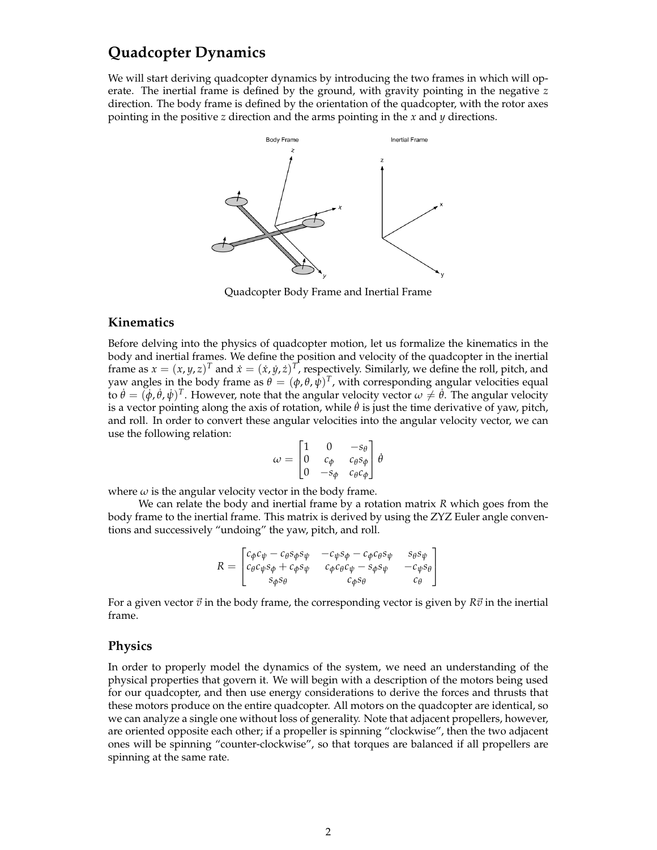## **Quadcopter Dynamics**

We will start deriving quadcopter dynamics by introducing the two frames in which will operate. The inertial frame is defined by the ground, with gravity pointing in the negative *z* direction. The body frame is defined by the orientation of the quadcopter, with the rotor axes pointing in the positive *z* direction and the arms pointing in the *x* and *y* directions.



Quadcopter Body Frame and Inertial Frame

#### **Kinematics**

Before delving into the physics of quadcopter motion, let us formalize the kinematics in the body and inertial frames. We define the position and velocity of the quadcopter in the inertial frame as  $x = (x, y, z)^T$  and  $\dot{x} = (\dot{x}, \dot{y}, \dot{z})^T$ , respectively. Similarly, we define the roll, pitch, and yaw angles in the body frame as  $\theta = (\phi, \theta, \bar{\psi})^T$ , with corresponding angular velocities equal to  $\dot{\theta} = (\dot{\phi}, \dot{\theta}, \dot{\psi})^T$ . However, note that the angular velocity vector  $\omega \neq \dot{\theta}$ . The angular velocity is a vector pointing along the axis of rotation, while  $\hat{\theta}$  is just the time derivative of yaw, pitch, and roll. In order to convert these angular velocities into the angular velocity vector, we can use the following relation:

$$
\omega = \begin{bmatrix} 1 & 0 & -s_{\theta} \\ 0 & c_{\phi} & c_{\theta} s_{\phi} \\ 0 & -s_{\phi} & c_{\theta} c_{\phi} \end{bmatrix} \dot{\theta}
$$

where  $\omega$  is the angular velocity vector in the body frame.

We can relate the body and inertial frame by a rotation matrix *R* which goes from the body frame to the inertial frame. This matrix is derived by using the ZYZ Euler angle conventions and successively "undoing" the yaw, pitch, and roll.

$$
R = \begin{bmatrix} c_{\phi}c_{\psi} - c_{\theta}s_{\phi}s_{\psi} & -c_{\psi}s_{\phi} - c_{\phi}c_{\theta}s_{\psi} & s_{\theta}s_{\psi} \\ c_{\theta}c_{\psi}s_{\phi} + c_{\phi}s_{\psi} & c_{\phi}c_{\theta}c_{\psi} - s_{\phi}s_{\psi} & -c_{\psi}s_{\theta} \\ s_{\phi}s_{\theta} & c_{\phi}s_{\theta} & c_{\theta} \end{bmatrix}
$$

For a given vector  $\vec{v}$  in the body frame, the corresponding vector is given by  $R\vec{v}$  in the inertial frame.

#### **Physics**

In order to properly model the dynamics of the system, we need an understanding of the physical properties that govern it. We will begin with a description of the motors being used for our quadcopter, and then use energy considerations to derive the forces and thrusts that these motors produce on the entire quadcopter. All motors on the quadcopter are identical, so we can analyze a single one without loss of generality. Note that adjacent propellers, however, are oriented opposite each other; if a propeller is spinning "clockwise", then the two adjacent ones will be spinning "counter-clockwise", so that torques are balanced if all propellers are spinning at the same rate.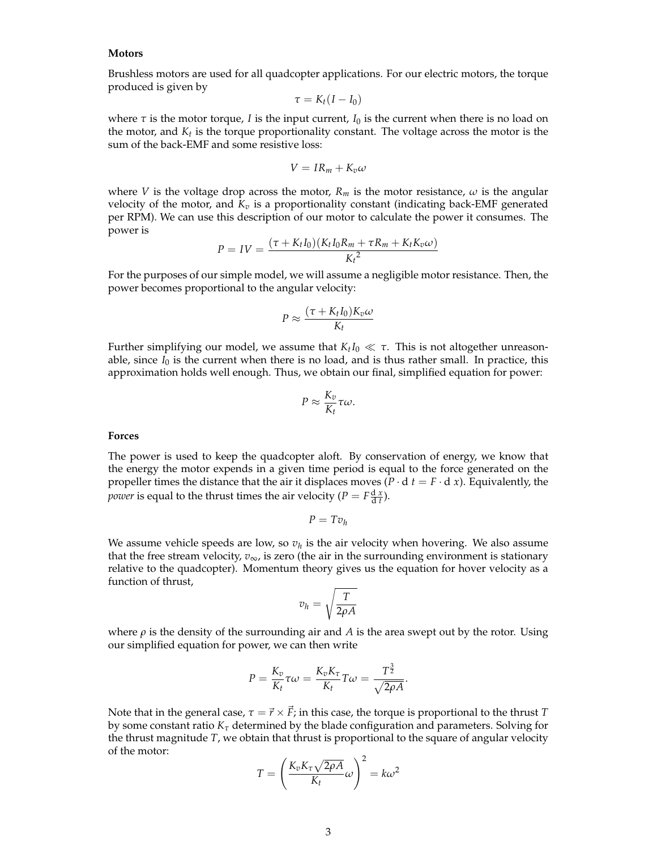#### **Motors**

Brushless motors are used for all quadcopter applications. For our electric motors, the torque produced is given by

$$
\tau = K_t(I - I_0)
$$

where  $\tau$  is the motor torque, *I* is the input current,  $I_0$  is the current when there is no load on the motor, and  $K_t$  is the torque proportionality constant. The voltage across the motor is the sum of the back-EMF and some resistive loss:

$$
V = IR_m + K_v \omega
$$

where *V* is the voltage drop across the motor,  $R_m$  is the motor resistance,  $\omega$  is the angular velocity of the motor, and  $K_v$  is a proportionality constant (indicating back-EMF generated per RPM). We can use this description of our motor to calculate the power it consumes. The power is

$$
P = IV = \frac{(\tau + K_t I_0)(K_t I_0 R_m + \tau R_m + K_t K_v \omega)}{K_t^2}
$$

For the purposes of our simple model, we will assume a negligible motor resistance. Then, the power becomes proportional to the angular velocity:

$$
P \approx \frac{(\tau + K_t I_0) K_v \omega}{K_t}
$$

Further simplifying our model, we assume that  $K_t I_0 \ll \tau$ . This is not altogether unreasonable, since  $I_0$  is the current when there is no load, and is thus rather small. In practice, this approximation holds well enough. Thus, we obtain our final, simplified equation for power:

$$
P \approx \frac{K_v}{K_t} \tau \omega.
$$

#### **Forces**

The power is used to keep the quadcopter aloft. By conservation of energy, we know that the energy the motor expends in a given time period is equal to the force generated on the propeller times the distance that the air it displaces moves  $(P \cdot d \ t = F \cdot d \ x)$ . Equivalently, the *power* is equal to the thrust times the air velocity ( $P = F \frac{d x}{dt}$ ).

$$
P = Tv_h
$$

We assume vehicle speeds are low, so  $v_h$  is the air velocity when hovering. We also assume that the free stream velocity,  $v_{\infty}$ , is zero (the air in the surrounding environment is stationary relative to the quadcopter). Momentum theory gives us the equation for hover velocity as a function of thrust,

$$
v_h = \sqrt{\frac{T}{2\rho A}}
$$

where  $\rho$  is the density of the surrounding air and *A* is the area swept out by the rotor. Using our simplified equation for power, we can then write

$$
P = \frac{K_v}{K_t} \tau \omega = \frac{K_v K_\tau}{K_t} T \omega = \frac{T^{\frac{3}{2}}}{\sqrt{2\rho A}}.
$$

Note that in the general case,  $\tau = \vec{r} \times \vec{F}$ ; in this case, the torque is proportional to the thrust *T* by some constant ratio *K<sup>τ</sup>* determined by the blade configuration and parameters. Solving for the thrust magnitude *T*, we obtain that thrust is proportional to the square of angular velocity of the motor:

$$
T = \left(\frac{K_v K_\tau \sqrt{2\rho A}}{K_t}\omega\right)^2 = k\omega^2
$$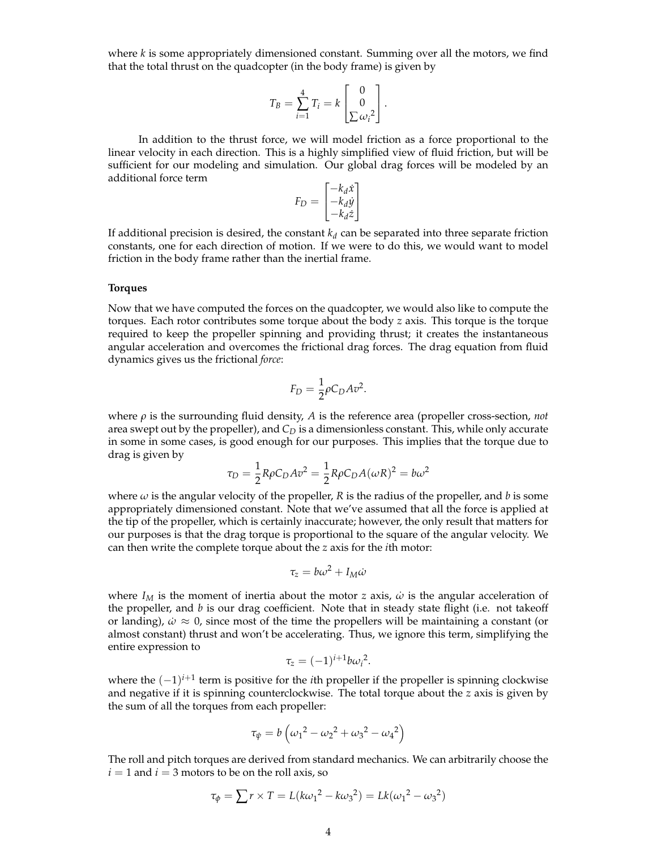where *k* is some appropriately dimensioned constant. Summing over all the motors, we find that the total thrust on the quadcopter (in the body frame) is given by

$$
T_B = \sum_{i=1}^4 T_i = k \begin{bmatrix} 0 \\ 0 \\ \sum \omega_i^2 \end{bmatrix}.
$$

In addition to the thrust force, we will model friction as a force proportional to the linear velocity in each direction. This is a highly simplified view of fluid friction, but will be sufficient for our modeling and simulation. Our global drag forces will be modeled by an additional force term

$$
F_D = \begin{bmatrix} -k_d \dot{x} \\ -k_d \dot{y} \\ -k_d \dot{z} \end{bmatrix}
$$

If additional precision is desired, the constant  $k_d$  can be separated into three separate friction constants, one for each direction of motion. If we were to do this, we would want to model friction in the body frame rather than the inertial frame.

#### **Torques**

Now that we have computed the forces on the quadcopter, we would also like to compute the torques. Each rotor contributes some torque about the body *z* axis. This torque is the torque required to keep the propeller spinning and providing thrust; it creates the instantaneous angular acceleration and overcomes the frictional drag forces. The drag equation from fluid dynamics gives us the frictional *force*:

$$
F_D = \frac{1}{2} \rho C_D A v^2.
$$

where *ρ* is the surrounding fluid density, *A* is the reference area (propeller cross-section, *not* area swept out by the propeller), and *C<sup>D</sup>* is a dimensionless constant. This, while only accurate in some in some cases, is good enough for our purposes. This implies that the torque due to drag is given by

$$
\tau_D = \frac{1}{2} R \rho C_D A v^2 = \frac{1}{2} R \rho C_D A (\omega R)^2 = b \omega^2
$$

where  $\omega$  is the angular velocity of the propeller, *R* is the radius of the propeller, and *b* is some appropriately dimensioned constant. Note that we've assumed that all the force is applied at the tip of the propeller, which is certainly inaccurate; however, the only result that matters for our purposes is that the drag torque is proportional to the square of the angular velocity. We can then write the complete torque about the *z* axis for the *i*th motor:

$$
\tau_z = b\omega^2 + I_M \dot{\omega}
$$

where  $I_M$  is the moment of inertia about the motor *z* axis,  $\dot{\omega}$  is the angular acceleration of the propeller, and *b* is our drag coefficient. Note that in steady state flight (i.e. not takeoff or landing),  $\dot{\omega} \approx 0$ , since most of the time the propellers will be maintaining a constant (or almost constant) thrust and won't be accelerating. Thus, we ignore this term, simplifying the entire expression to

$$
\tau_z = (-1)^{i+1} b \omega_i^2.
$$

where the (−1) *i*+1 term is positive for the *i*th propeller if the propeller is spinning clockwise and negative if it is spinning counterclockwise. The total torque about the *z* axis is given by the sum of all the torques from each propeller:

$$
\tau_{\psi} = b \left( \omega_1^2 - \omega_2^2 + \omega_3^2 - \omega_4^2 \right)
$$

The roll and pitch torques are derived from standard mechanics. We can arbitrarily choose the  $i = 1$  and  $i = 3$  motors to be on the roll axis, so

$$
\tau_{\phi} = \sum r \times T = L(k\omega_1^2 - k\omega_3^2) = Lk(\omega_1^2 - \omega_3^2)
$$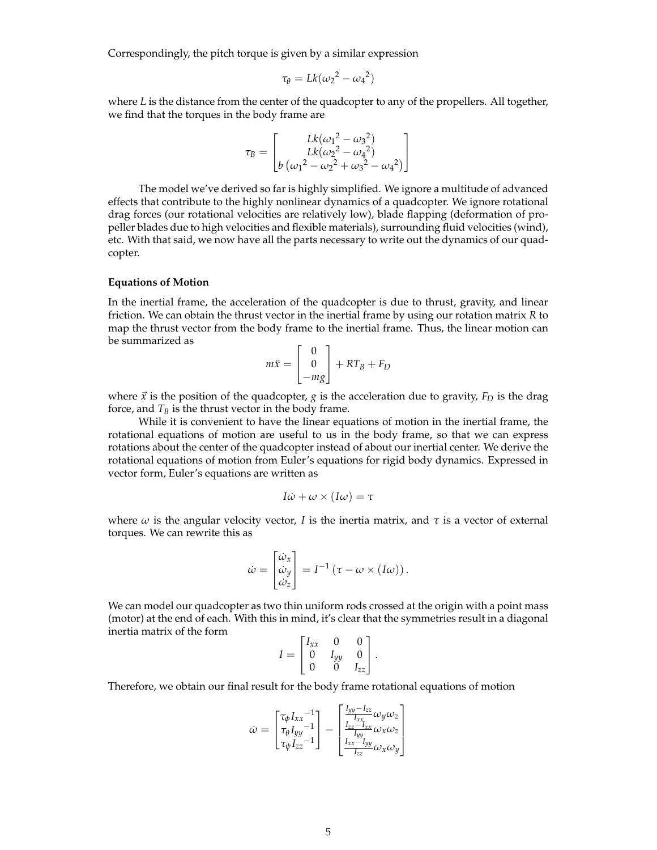Correspondingly, the pitch torque is given by a similar expression

$$
\tau_{\theta} = Lk(\omega_2^2 - {\omega_4}^2)
$$

where *L* is the distance from the center of the quadcopter to any of the propellers. All together, we find that the torques in the body frame are

$$
\tau_B = \begin{bmatrix} Lk(\omega_1^2 - \omega_3^2) \\ Lk(\omega_2^2 - \omega_4^2) \\ b(\omega_1^2 - \omega_2^2 + \omega_3^2 - \omega_4^2) \end{bmatrix}
$$

The model we've derived so far is highly simplified. We ignore a multitude of advanced effects that contribute to the highly nonlinear dynamics of a quadcopter. We ignore rotational drag forces (our rotational velocities are relatively low), blade flapping (deformation of propeller blades due to high velocities and flexible materials), surrounding fluid velocities (wind), etc. With that said, we now have all the parts necessary to write out the dynamics of our quadcopter.

#### **Equations of Motion**

In the inertial frame, the acceleration of the quadcopter is due to thrust, gravity, and linear friction. We can obtain the thrust vector in the inertial frame by using our rotation matrix *R* to map the thrust vector from the body frame to the inertial frame. Thus, the linear motion can be summarized as

$$
m\ddot{x} = \begin{bmatrix} 0 \\ 0 \\ -mg \end{bmatrix} + RT_B + F_D
$$

where  $\vec{x}$  is the position of the quadcopter, *g* is the acceleration due to gravity,  $F_D$  is the drag force, and  $T_B$  is the thrust vector in the body frame.

While it is convenient to have the linear equations of motion in the inertial frame, the rotational equations of motion are useful to us in the body frame, so that we can express rotations about the center of the quadcopter instead of about our inertial center. We derive the rotational equations of motion from Euler's equations for rigid body dynamics. Expressed in vector form, Euler's equations are written as

$$
I\dot{\omega} + \omega \times (I\omega) = \tau
$$

where  $\omega$  is the angular velocity vector, *I* is the inertia matrix, and  $\tau$  is a vector of external torques. We can rewrite this as

$$
\dot{\omega} = \begin{bmatrix} \dot{\omega}_x \\ \dot{\omega}_y \\ \dot{\omega}_z \end{bmatrix} = I^{-1} (\tau - \omega \times (I\omega)).
$$

We can model our quadcopter as two thin uniform rods crossed at the origin with a point mass (motor) at the end of each. With this in mind, it's clear that the symmetries result in a diagonal inertia matrix of the form

$$
I = \begin{bmatrix} I_{xx} & 0 & 0 \\ 0 & I_{yy} & 0 \\ 0 & 0 & I_{zz} \end{bmatrix}.
$$

Therefore, we obtain our final result for the body frame rotational equations of motion

$$
\dot{\omega} = \begin{bmatrix} \tau_{\phi} I_{xx}^{-1} \\ \tau_{\theta} I_{yy}^{-1} \\ \tau_{\psi} I_{zz}^{-1} \end{bmatrix} - \begin{bmatrix} \frac{I_{yy} - I_{zz}}{I_{xx}} \omega_{y} \omega_{z} \\ \frac{I_{zz} - I_{xx}}{I_{yy}} \omega_{x} \omega_{z} \\ \frac{I_{xx} - I_{yy}}{I_{zz}} \omega_{x} \omega_{y} \end{bmatrix}
$$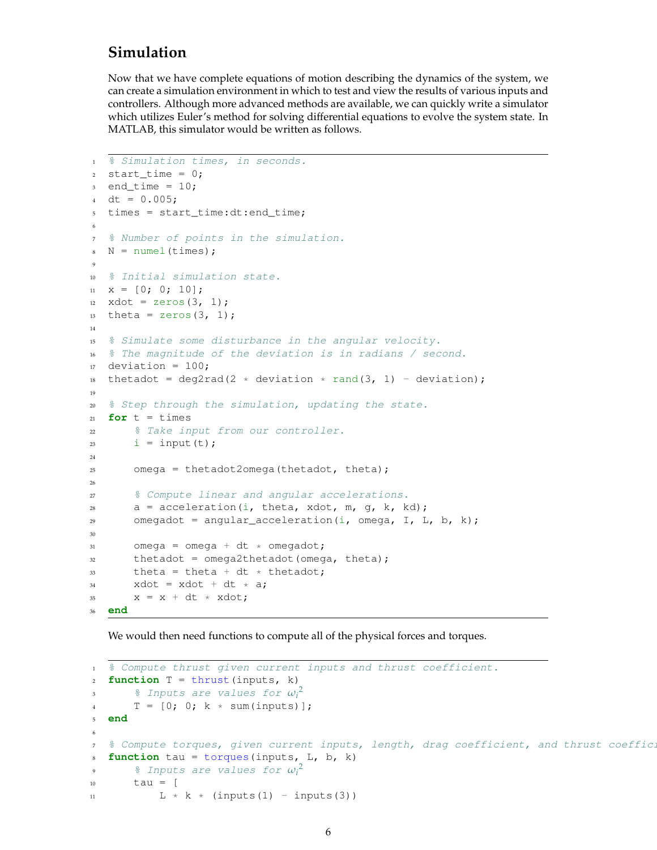## **Simulation**

Now that we have complete equations of motion describing the dynamics of the system, we can create a simulation environment in which to test and view the results of various inputs and controllers. Although more advanced methods are available, we can quickly write a simulator which utilizes Euler's method for solving differential equations to evolve the system state. In MATLAB, this simulator would be written as follows.

```
1 % Simulation times, in seconds.
2 start_time = 0;3 end_time = 10;4 dt = 0.005;
5 times = start_time:dt:end_time;
6
7 % Number of points in the simulation.
8 \text{ N} = \text{numel}(\text{times});9
10 % Initial simulation state.
x = [0; 0; 10];12 xdot = zeros(3, 1);13 theta = zeros(3, 1);
14
15 % Simulate some disturbance in the angular velocity.
16 % The magnitude of the deviation is in radians / second.
17 deviation = 100;
18 thetadot = deg2rad(2 * deviation * rand(3, 1) - deviation);
19
20 % Step through the simulation, updating the state.
21 for t = times22 % Take input from our controller.
23 i = input(t);
24
25 omega = thetadot2omega(thetadot, theta);
26
27 % Compute linear and angular accelerations.
28 a = acceleration(i, theta, xdot, m, g, k, kd);
29 omegadot = angular_acceleration(i, omega, I, L, b, k);
30
31 omega = omega + dt * omegadot;
32 thetadot = omega2thetadot(omega, theta);
33 theta = theta + dt * thetadot;
34 xdot = xdot + dt * a;
x = x + dt * xdot;36 end
```
We would then need functions to compute all of the physical forces and torques.

```
1 % Compute thrust given current inputs and thrust coefficient.
function T = thrust(input, k)3 % Inputs are values for ωi
2
T = [0; 0; k * sum(inputs)];5 end
6
7 % Compute torques, given current inputs, length, drag coefficient, and thrust coeffic.
8 function tau = torques(inputs, L, b, k)
9 % Inputs are values for ωi
2
10 tau = \lceil11 \times k \times (inputs(1) - inputs(3))
```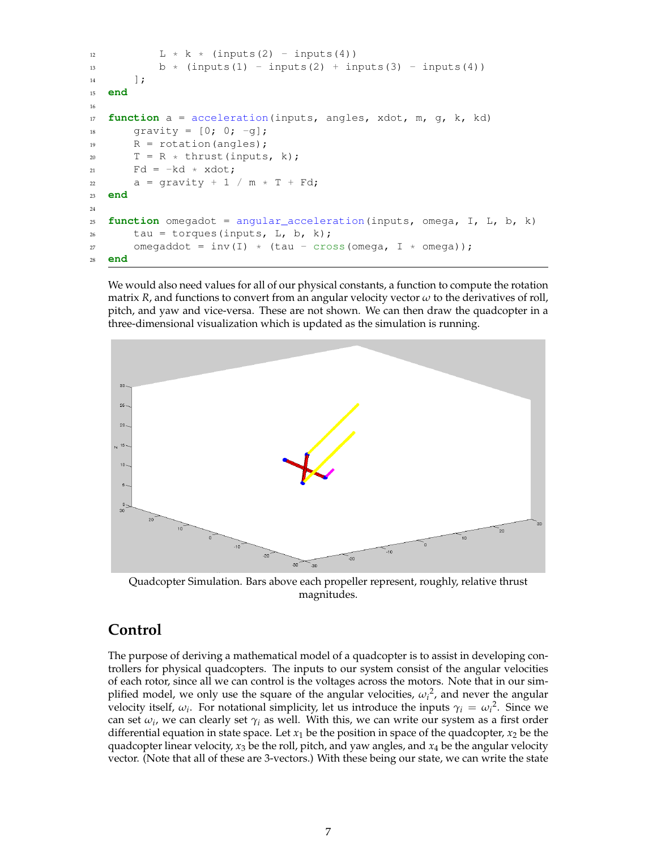```
L * k * (inputs(2) - inputs(4))13 b * (inputs(1) - inputs(2) + inputs(3) - inputs(4))
\frac{14}{14} ];
15 end
16
17 function a = acceleration(inputs, angles, xdot, m, g, k, kd)
18 gravity = [0; 0; -g];
R = rotation (angles);
20 T = R \star thrust(inputs, k);
Pd = -kd * xdot;22 a = qravity + 1 / m * T + Fd;
23 end
24
25 function omegadot = angular_acceleration(inputs, omega, I, L, b, k)
26 tau = torques(inputs, L, b, k);
27 omegaddot = inv(I) * (tau - cross(omega, I * omega));
28 end
```
We would also need values for all of our physical constants, a function to compute the rotation matrix *R*, and functions to convert from an angular velocity vector *ω* to the derivatives of roll, pitch, and yaw and vice-versa. These are not shown. We can then draw the quadcopter in a three-dimensional visualization which is updated as the simulation is running.



Quadcopter Simulation. Bars above each propeller represent, roughly, relative thrust magnitudes.

### **Control**

The purpose of deriving a mathematical model of a quadcopter is to assist in developing controllers for physical quadcopters. The inputs to our system consist of the angular velocities of each rotor, since all we can control is the voltages across the motors. Note that in our simplified model, we only use the square of the angular velocities,  $\omega_i^2$ , and never the angular velocity itself,  $\omega_i$ . For notational simplicity, let us introduce the inputs  $\gamma_i = \omega_i^2$ . Since we can set  $\omega_i$ , we can clearly set  $\gamma_i$  as well. With this, we can write our system as a first order differential equation in state space. Let  $x_1$  be the position in space of the quadcopter,  $x_2$  be the quadcopter linear velocity,  $x_3$  be the roll, pitch, and yaw angles, and  $x_4$  be the angular velocity vector. (Note that all of these are 3-vectors.) With these being our state, we can write the state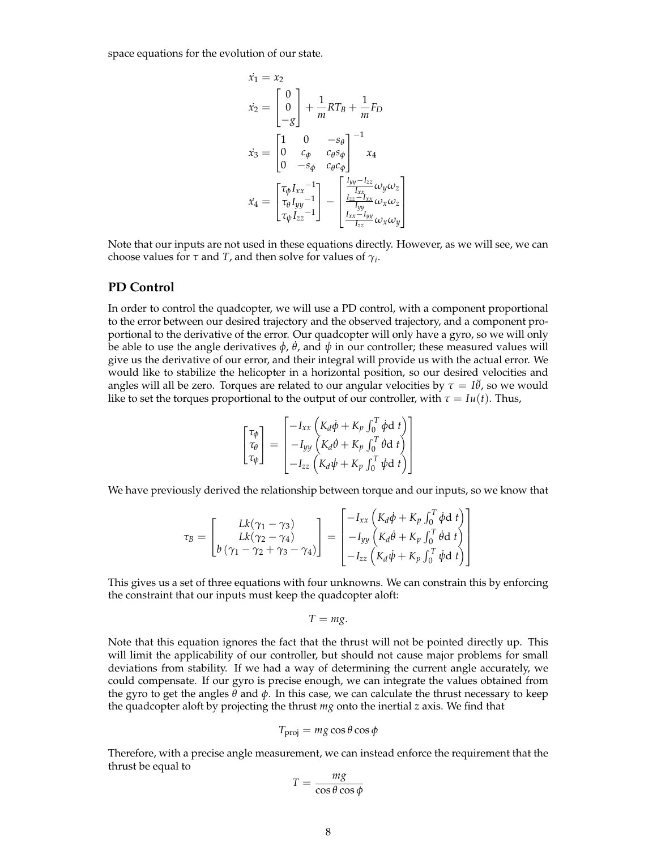space equations for the evolution of our state.

$$
\begin{aligned}\n\dot{x_1} &= x_2\\ \n\dot{x_2} &= \begin{bmatrix} 0\\ 0\\ -g \end{bmatrix} + \frac{1}{m}RT_B + \frac{1}{m}F_D\\ \n\dot{x_3} &= \begin{bmatrix} 1 & 0 & -s_\theta\\ 0 & c_\phi & c_\theta s_\phi\\ 0 & -s_\phi & c_\theta c_\phi \end{bmatrix}^{-1} x_4\\ \n\dot{x_4} &= \begin{bmatrix} \tau_\phi I_{xx}^{-1}\\ \tau_\theta I_{yy}^{-1}\\ \tau_\psi I_{zz}^{-1} \end{bmatrix} - \begin{bmatrix} \frac{I_{yy} - I_{zz}}{I_{xx}} \omega_y \omega_z\\ \frac{I_{zz} - I_{xx}}{I_{yy}} \omega_x \omega_z\\ \frac{I_{xx} - I_{yy}}{I_{zz}} \omega_x \omega_y \end{bmatrix}\n\end{aligned}
$$

Note that our inputs are not used in these equations directly. However, as we will see, we can choose values for  $\tau$  and  $T$ , and then solve for values of  $\gamma_i$ .

#### **PD Control**

In order to control the quadcopter, we will use a PD control, with a component proportional to the error between our desired trajectory and the observed trajectory, and a component proportional to the derivative of the error. Our quadcopter will only have a gyro, so we will only  $\vec{b}$ e able to use the angle derivatives  $\dot{\phi}$ ,  $\dot{\theta}$ , and  $\dot{\psi}$  in our controller; these measured values will give us the derivative of our error, and their integral will provide us with the actual error. We would like to stabilize the helicopter in a horizontal position, so our desired velocities and angles will all be zero. Torques are related to our angular velocities by  $\tau = I\ddot{\theta}$ , so we would like to set the torques proportional to the output of our controller, with  $\tau = Iu(t)$ . Thus,

$$
\begin{bmatrix} \tau_{\phi} \\ \tau_{\theta} \\ \tau_{\psi} \end{bmatrix} = \begin{bmatrix} -I_{xx} \left( K_d \dot{\phi} + K_p \int_0^T \dot{\phi} d \ t \right) \\ -I_{yy} \left( K_d \dot{\theta} + K_p \int_0^T \dot{\theta} d \ t \right) \\ -I_{zz} \left( K_d \dot{\psi} + K_p \int_0^T \dot{\psi} d \ t \right) \end{bmatrix}
$$

We have previously derived the relationship between torque and our inputs, so we know that

$$
\tau_B = \begin{bmatrix} Lk(\gamma_1 - \gamma_3) \\ Lk(\gamma_2 - \gamma_4) \\ b(\gamma_1 - \gamma_2 + \gamma_3 - \gamma_4) \end{bmatrix} = \begin{bmatrix} -I_{xx} \left( K_d \dot{\phi} + K_p \int_0^T \dot{\phi} d \ t \right) \\ -I_{yy} \left( K_d \dot{\theta} + K_p \int_0^T \dot{\theta} d \ t \right) \\ -I_{zz} \left( K_d \dot{\psi} + K_p \int_0^T \dot{\psi} d \ t \right) \end{bmatrix}
$$

This gives us a set of three equations with four unknowns. We can constrain this by enforcing the constraint that our inputs must keep the quadcopter aloft:

$$
T = mg.
$$

Note that this equation ignores the fact that the thrust will not be pointed directly up. This will limit the applicability of our controller, but should not cause major problems for small deviations from stability. If we had a way of determining the current angle accurately, we could compensate. If our gyro is precise enough, we can integrate the values obtained from the gyro to get the angles *θ* and *φ*. In this case, we can calculate the thrust necessary to keep the quadcopter aloft by projecting the thrust *mg* onto the inertial *z* axis. We find that

$$
T_{\rm proj} = mg \cos \theta \cos \phi
$$

Therefore, with a precise angle measurement, we can instead enforce the requirement that the thrust be equal to

$$
T = \frac{mg}{\cos\theta\cos\phi}
$$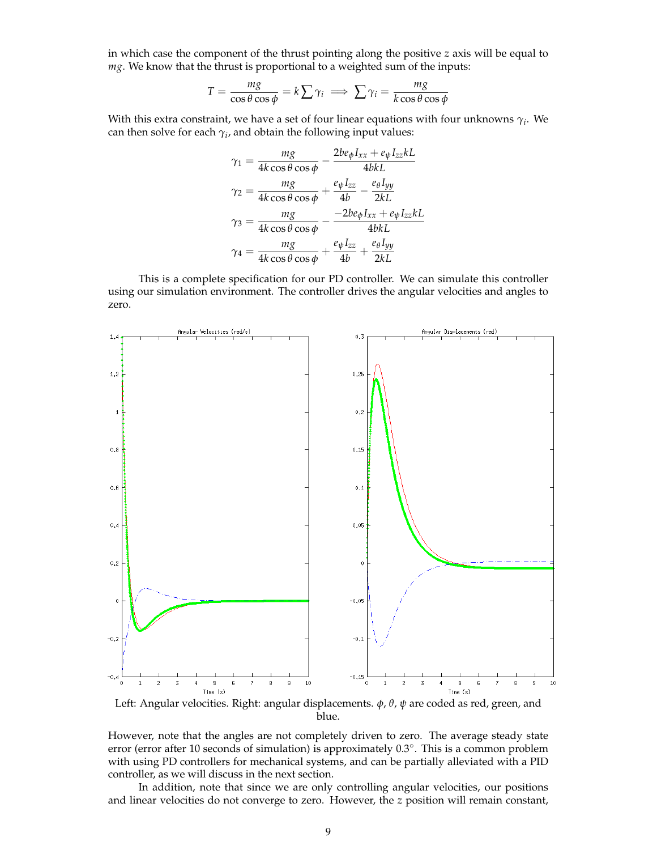in which case the component of the thrust pointing along the positive *z* axis will be equal to *mg*. We know that the thrust is proportional to a weighted sum of the inputs:

$$
T = \frac{mg}{\cos\theta\cos\phi} = k\sum\gamma_i \implies \sum\gamma_i = \frac{mg}{k\cos\theta\cos\phi}
$$

With this extra constraint, we have a set of four linear equations with four unknowns *γ<sup>i</sup>* . We can then solve for each  $\gamma_i$ , and obtain the following input values:

$$
\gamma_1 = \frac{mg}{4k\cos\theta\cos\phi} - \frac{2be_{\phi}I_{xx} + e_{\psi}I_{zz}kL}{4bkL}
$$

$$
\gamma_2 = \frac{mg}{4k\cos\theta\cos\phi} + \frac{e_{\psi}I_{zz}}{4b} - \frac{e_{\theta}I_{yy}}{2kL}
$$

$$
\gamma_3 = \frac{mg}{4k\cos\theta\cos\phi} - \frac{-2be_{\phi}I_{xx} + e_{\psi}I_{zz}kL}{4bkL}
$$

$$
\gamma_4 = \frac{mg}{4k\cos\theta\cos\phi} + \frac{e_{\psi}I_{zz}}{4b} + \frac{e_{\theta}I_{yy}}{2kL}
$$

This is a complete specification for our PD controller. We can simulate this controller using our simulation environment. The controller drives the angular velocities and angles to zero.



Left: Angular velocities. Right: angular displacements. *φ*, *θ*, *ψ* are coded as red, green, and blue.

However, note that the angles are not completely driven to zero. The average steady state error (error after 10 seconds of simulation) is approximately 0.3°. This is a common problem with using PD controllers for mechanical systems, and can be partially alleviated with a PID controller, as we will discuss in the next section.

In addition, note that since we are only controlling angular velocities, our positions and linear velocities do not converge to zero. However, the *z* position will remain constant,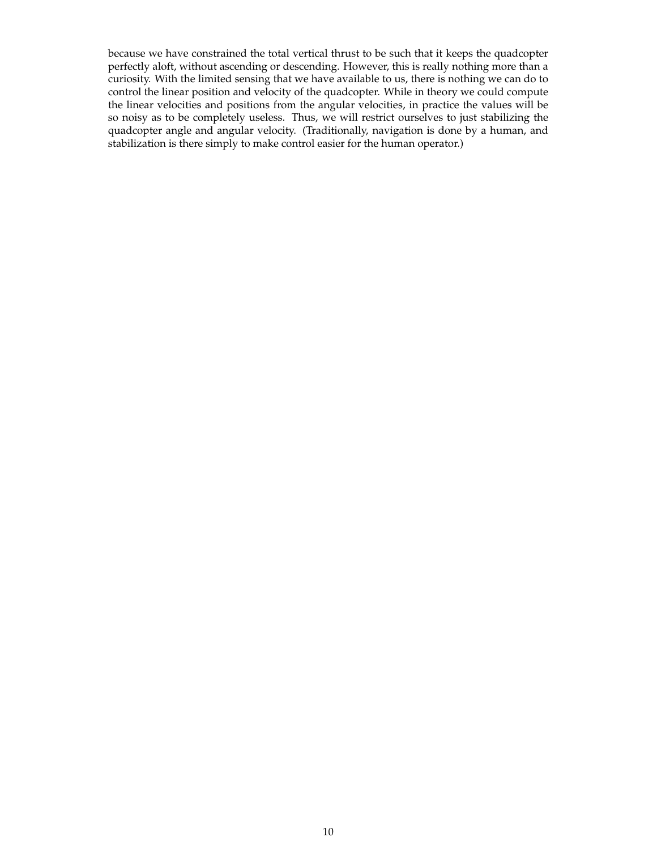because we have constrained the total vertical thrust to be such that it keeps the quadcopter perfectly aloft, without ascending or descending. However, this is really nothing more than a curiosity. With the limited sensing that we have available to us, there is nothing we can do to control the linear position and velocity of the quadcopter. While in theory we could compute the linear velocities and positions from the angular velocities, in practice the values will be so noisy as to be completely useless. Thus, we will restrict ourselves to just stabilizing the quadcopter angle and angular velocity. (Traditionally, navigation is done by a human, and stabilization is there simply to make control easier for the human operator.)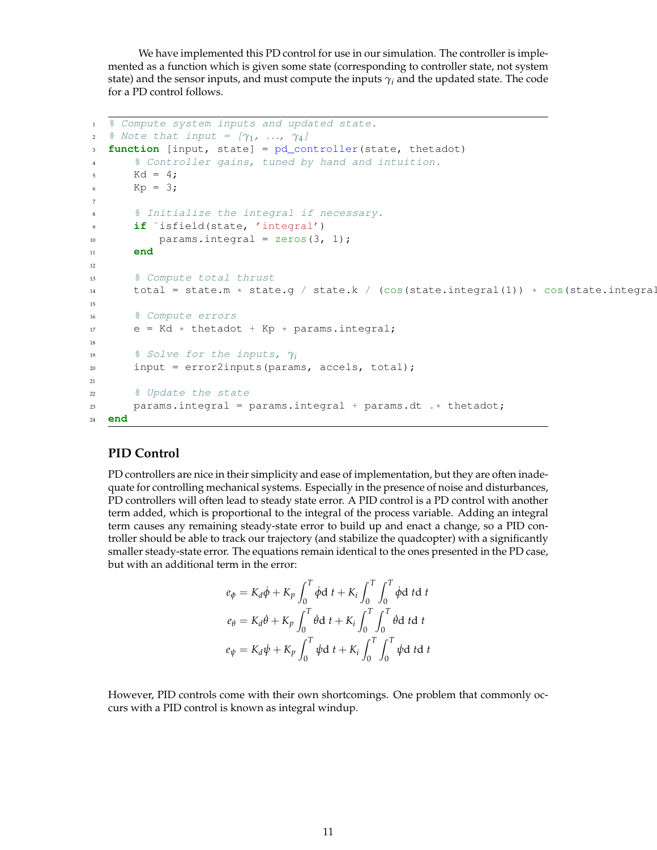We have implemented this PD control for use in our simulation. The controller is implemented as a function which is given some state (corresponding to controller state, not system state) and the sensor inputs, and must compute the inputs  $\gamma_i$  and the updated state. The code for a PD control follows.

```
1 % Compute system inputs and updated state.
2 & Note that input = [γ_1, ..., γ_4]
3 function [input, state] = pd_controller(state, thetadot)
4 % Controller gains, tuned by hand and intuition.
5 Kd = 4;
6 Kp = 3;7
8 % Initialize the integral if necessary.
9 if ˜isfield(state, 'integral')
10 params.integral = zeros(3, 1);
11 end
12
13 % Compute total thrust
14 total = state.m * state.g / state.k / (cos(state.integral(1)) * cos(state.integral
15
16 % Compute errors
17 e = Kd * thetadot + Kp * params.integral;
18
19 % Solve for the inputs, γi
20 input = error2inputs(params, accels, total);
21
22 % Update the state
23 params.integral = params.integral + params.dt .* thetadot;
24 end
```
### **PID Control**

PD controllers are nice in their simplicity and ease of implementation, but they are often inadequate for controlling mechanical systems. Especially in the presence of noise and disturbances, PD controllers will often lead to steady state error. A PID control is a PD control with another term added, which is proportional to the integral of the process variable. Adding an integral term causes any remaining steady-state error to build up and enact a change, so a PID controller should be able to track our trajectory (and stabilize the quadcopter) with a significantly smaller steady-state error. The equations remain identical to the ones presented in the PD case, but with an additional term in the error:

$$
e_{\phi} = K_d \dot{\phi} + K_p \int_0^T \dot{\phi} d t + K_i \int_0^T \int_0^T \dot{\phi} d t d t
$$
  

$$
e_{\theta} = K_d \dot{\theta} + K_p \int_0^T \dot{\theta} d t + K_i \int_0^T \int_0^T \dot{\theta} d t d t
$$
  

$$
e_{\psi} = K_d \dot{\psi} + K_p \int_0^T \dot{\psi} d t + K_i \int_0^T \int_0^T \dot{\psi} d t d t
$$

However, PID controls come with their own shortcomings. One problem that commonly occurs with a PID control is known as integral windup.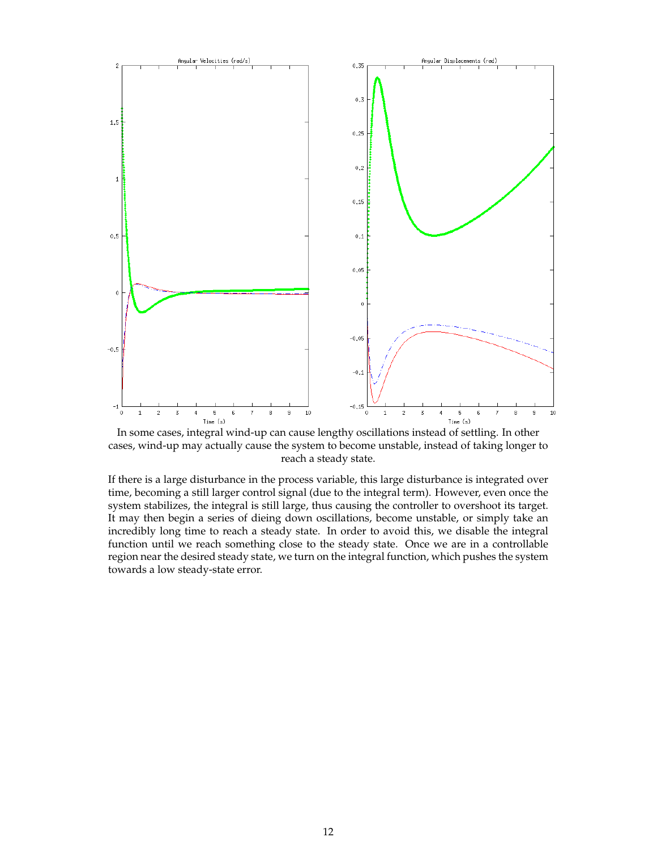

In some cases, integral wind-up can cause lengthy oscillations instead of settling. In other cases, wind-up may actually cause the system to become unstable, instead of taking longer to reach a steady state.

If there is a large disturbance in the process variable, this large disturbance is integrated over time, becoming a still larger control signal (due to the integral term). However, even once the system stabilizes, the integral is still large, thus causing the controller to overshoot its target. It may then begin a series of dieing down oscillations, become unstable, or simply take an incredibly long time to reach a steady state. In order to avoid this, we disable the integral function until we reach something close to the steady state. Once we are in a controllable region near the desired steady state, we turn on the integral function, which pushes the system towards a low steady-state error.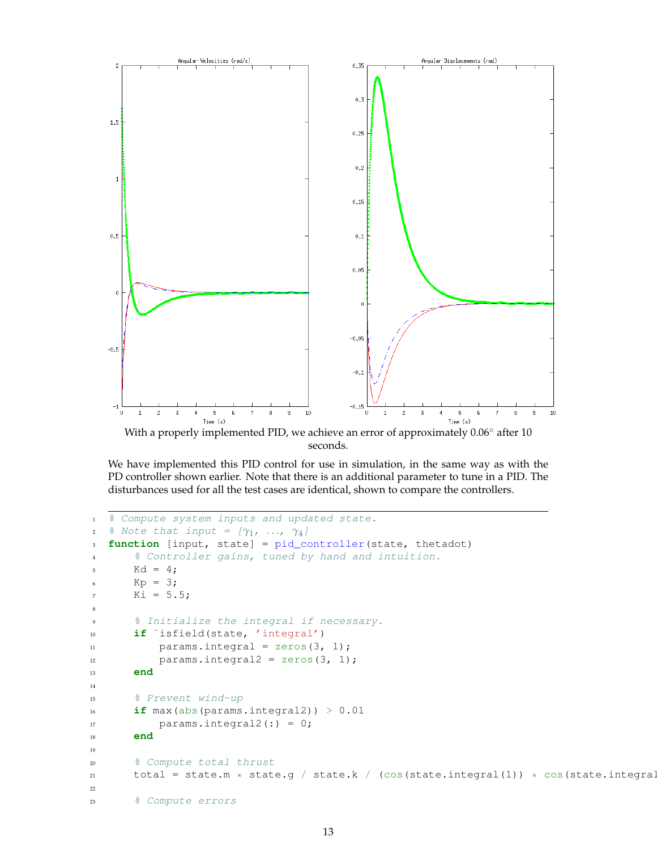

With a properly implemented PID, we achieve an error of approximately 0.06◦ after 10 seconds.

We have implemented this PID control for use in simulation, in the same way as with the PD controller shown earlier. Note that there is an additional parameter to tune in a PID. The disturbances used for all the test cases are identical, shown to compare the controllers.

```
1 % Compute system inputs and updated state.
2 % Note that input = [γ_1, …, γ_4]3 function [input, state] = pid_controller(state, thetadot)
      4 % Controller gains, tuned by hand and intuition.
5 Kd = 4;
      Kp = 3;7 Ki = 5.5;8
9 % Initialize the integral if necessary.
10 if ˜isfield(state, 'integral')
11 params.integral = zeros(3, 1);
12 params.integral2 = zeros(3, 1);
13 end
14
15 % Prevent wind-up
\text{if } \text{max}(\text{abs}(\text{params.integral})) > 0.0117 params.integral2(:) = 0;
18 end
19
20 % Compute total thrust
21 total = state.m * state.g / state.k / (cos(state.integral(1)) * cos(state.integral
22
23 % Compute errors
```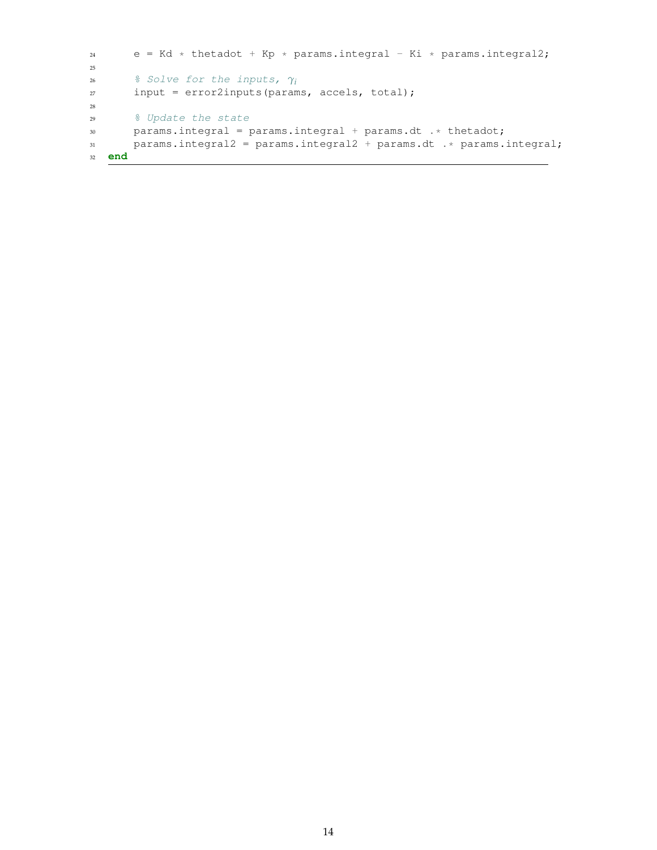```
24 e = Kd * thetadot + Kp * params.integral - Ki * params.integral2;
25
26 % Solve for the inputs, γi
27 input = error2inputs(params, accels, total);
28
29 % Update the state
30 params.integral = params.integral + params.dt .* thetadot;
31 params.integral2 = params.integral2 + params.dt .* params.integral;
32 end
```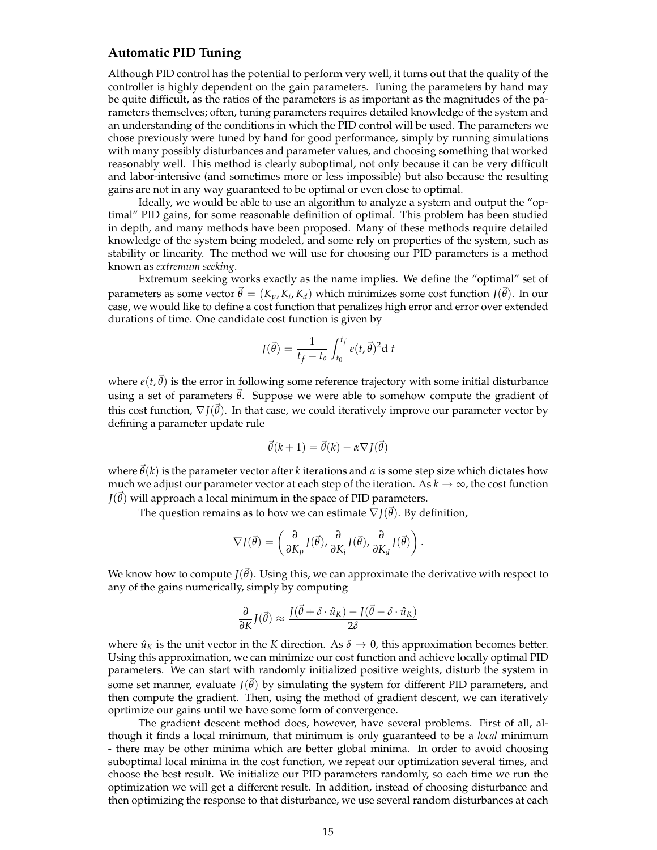### **Automatic PID Tuning**

Although PID control has the potential to perform very well, it turns out that the quality of the controller is highly dependent on the gain parameters. Tuning the parameters by hand may be quite difficult, as the ratios of the parameters is as important as the magnitudes of the parameters themselves; often, tuning parameters requires detailed knowledge of the system and an understanding of the conditions in which the PID control will be used. The parameters we chose previously were tuned by hand for good performance, simply by running simulations with many possibly disturbances and parameter values, and choosing something that worked reasonably well. This method is clearly suboptimal, not only because it can be very difficult and labor-intensive (and sometimes more or less impossible) but also because the resulting gains are not in any way guaranteed to be optimal or even close to optimal.

Ideally, we would be able to use an algorithm to analyze a system and output the "optimal" PID gains, for some reasonable definition of optimal. This problem has been studied in depth, and many methods have been proposed. Many of these methods require detailed knowledge of the system being modeled, and some rely on properties of the system, such as stability or linearity. The method we will use for choosing our PID parameters is a method known as *extremum seeking*.

Extremum seeking works exactly as the name implies. We define the "optimal" set of parameters as some vector  $\vec{\theta} = (K_p, K_i, K_d)$  which minimizes some cost function  $J(\vec{\theta})$ . In our case, we would like to define a cost function that penalizes high error and error over extended durations of time. One candidate cost function is given by

$$
J(\vec{\theta}) = \frac{1}{t_f - t_o} \int_{t_0}^{t_f} e(t, \vec{\theta})^2 d t
$$

where  $e(t,\theta)$  is the error in following some reference trajectory with some initial disturbance using a set of parameters  $\vec{\theta}$ . Suppose we were able to somehow compute the gradient of this cost function,  $\nabla J(\theta)$ . In that case, we could iteratively improve our parameter vector by defining a parameter update rule

$$
\vec{\theta}(k+1) = \vec{\theta}(k) - \alpha \nabla J(\vec{\theta})
$$

where  $\vec{\theta}(k)$  is the parameter vector after *k* iterations and *α* is some step size which dictates how much we adjust our parameter vector at each step of the iteration. As  $k \to \infty$ , the cost function  $J(\theta)$  will approach a local minimum in the space of PID parameters.

The question remains as to how we can estimate  $\nabla J(\vec{\theta})$ . By definition,

$$
\nabla J(\vec{\theta}) = \left(\frac{\partial}{\partial K_p} J(\vec{\theta}), \frac{\partial}{\partial K_i} J(\vec{\theta}), \frac{\partial}{\partial K_d} J(\vec{\theta})\right).
$$

We know how to compute  $J(\vec{\theta})$ . Using this, we can approximate the derivative with respect to any of the gains numerically, simply by computing

$$
\frac{\partial}{\partial K} J(\vec{\theta}) \approx \frac{J(\vec{\theta} + \delta \cdot \hat{u}_K) - J(\vec{\theta} - \delta \cdot \hat{u}_K)}{2\delta}
$$

where  $\hat{u}_K$  is the unit vector in the *K* direction. As  $\delta \to 0$ , this approximation becomes better. Using this approximation, we can minimize our cost function and achieve locally optimal PID parameters. We can start with randomly initialized positive weights, disturb the system in some set manner, evaluate  $J(\vec{\theta})$  by simulating the system for different PID parameters, and then compute the gradient. Then, using the method of gradient descent, we can iteratively oprtimize our gains until we have some form of convergence.

The gradient descent method does, however, have several problems. First of all, although it finds a local minimum, that minimum is only guaranteed to be a *local* minimum - there may be other minima which are better global minima. In order to avoid choosing suboptimal local minima in the cost function, we repeat our optimization several times, and choose the best result. We initialize our PID parameters randomly, so each time we run the optimization we will get a different result. In addition, instead of choosing disturbance and then optimizing the response to that disturbance, we use several random disturbances at each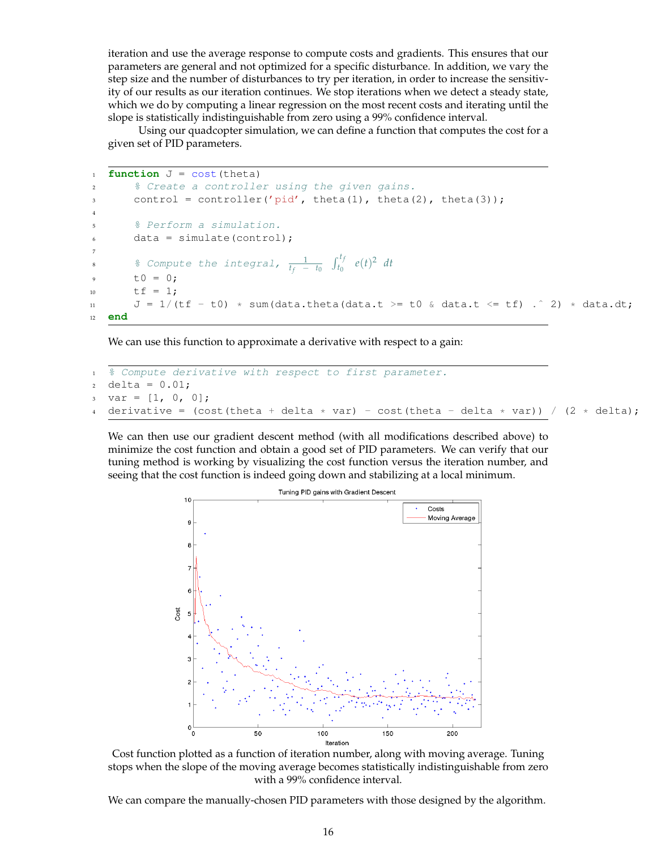iteration and use the average response to compute costs and gradients. This ensures that our parameters are general and not optimized for a specific disturbance. In addition, we vary the step size and the number of disturbances to try per iteration, in order to increase the sensitivity of our results as our iteration continues. We stop iterations when we detect a steady state, which we do by computing a linear regression on the most recent costs and iterating until the slope is statistically indistinguishable from zero using a 99% confidence interval.

Using our quadcopter simulation, we can define a function that computes the cost for a given set of PID parameters.

```
1 function J = \text{cost}(\text{theta})2 % Create a controller using the given gains.
       control = controller('pid', theta(1), theta(2), theta(3));
4
       5 % Perform a simulation.
       data = simulate(control);7
8 8 Compute the integral, \frac{1}{t_f - t_0} \int_{t_0}^{t_f} e(t)^2 dtt0 = 0;10 \text{tf} = 1;11 J = 1/(tf - t0) * sum(data.theta(data.t >= t0 & data.t <= tf) .^ 2) * data.dt;
12 end
```
We can use this function to approximate a derivative with respect to a gain:

```
1 % Compute derivative with respect to first parameter.
2 delta = 0.01;
3 \text{ var} = [1, 0, 0];derivative = (cost(theta + delta * var) - cost(theta - delta * var)) / (2 * delta);
```
We can then use our gradient descent method (with all modifications described above) to minimize the cost function and obtain a good set of PID parameters. We can verify that our tuning method is working by visualizing the cost function versus the iteration number, and seeing that the cost function is indeed going down and stabilizing at a local minimum.



Cost function plotted as a function of iteration number, along with moving average. Tuning stops when the slope of the moving average becomes statistically indistinguishable from zero with a 99% confidence interval.

We can compare the manually-chosen PID parameters with those designed by the algorithm.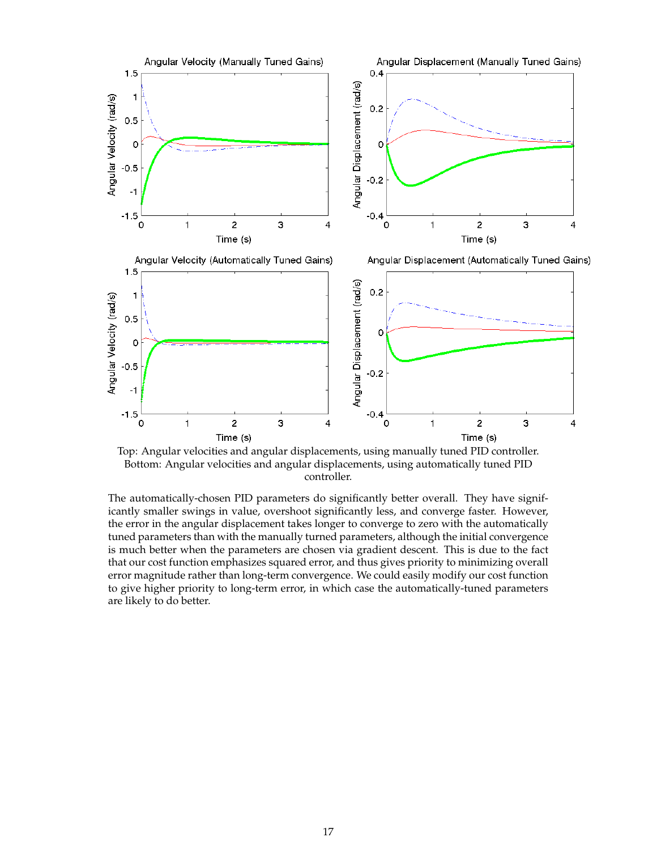

Top: Angular velocities and angular displacements, using manually tuned PID controller. Bottom: Angular velocities and angular displacements, using automatically tuned PID controller.

The automatically-chosen PID parameters do significantly better overall. They have significantly smaller swings in value, overshoot significantly less, and converge faster. However, the error in the angular displacement takes longer to converge to zero with the automatically tuned parameters than with the manually turned parameters, although the initial convergence is much better when the parameters are chosen via gradient descent. This is due to the fact that our cost function emphasizes squared error, and thus gives priority to minimizing overall error magnitude rather than long-term convergence. We could easily modify our cost function to give higher priority to long-term error, in which case the automatically-tuned parameters are likely to do better.